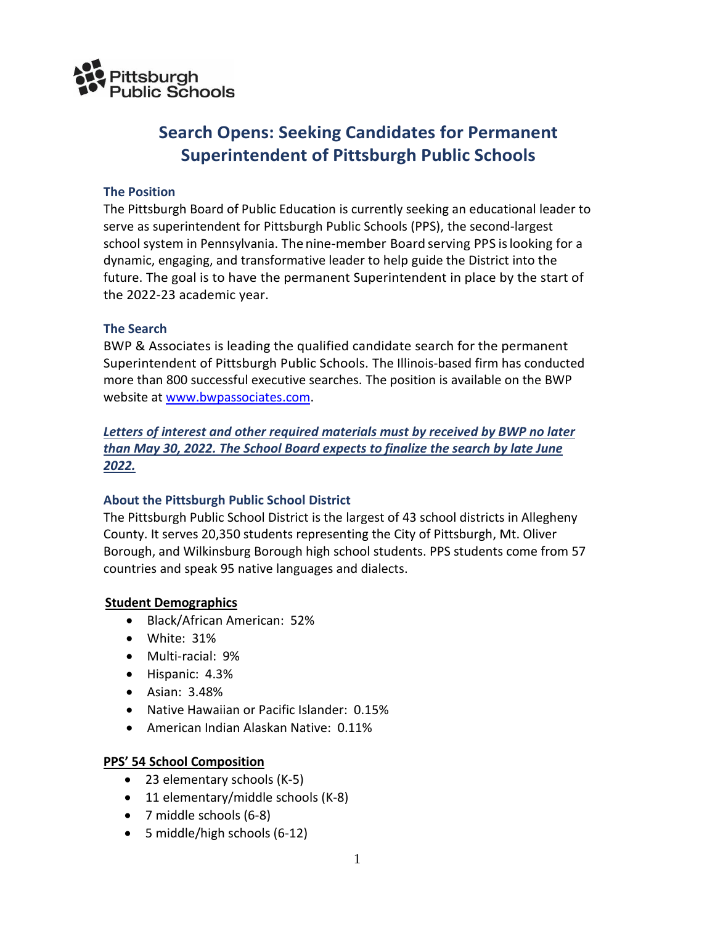

# **Search Opens: Seeking Candidates for Permanent Superintendent of Pittsburgh Public Schools**

## **The Position**

The Pittsburgh Board of Public Education is currently seeking an educational leader to serve as superintendent for Pittsburgh Public Schools (PPS), the second-largest school system in Pennsylvania. The nine-member Board serving PPS is looking for a dynamic, engaging, and transformative leader to help guide the District into the future. The goal is to have the permanent Superintendent in place by the start of the 2022-23 academic year.

#### **The Search**

BWP & Associates is leading the qualified candidate search for the permanent Superintendent of Pittsburgh Public Schools. The Illinois-based firm has conducted more than 800 successful executive searches. The position is available on the BWP website at [www.bwpassociates.com.](http://www.bwpassociates.com/)

## *Letters of interest and other required materials must by received by BWP no later than May 30, 2022. The School Board expects to finalize the search by late June 2022.*

#### **About the Pittsburgh Public School District**

The Pittsburgh Public School District is the largest of 43 school districts in Allegheny County. It serves 20,350 students representing the City of Pittsburgh, Mt. Oliver Borough, and Wilkinsburg Borough high school students. PPS students come from 57 countries and speak 95 native languages and dialects.

#### **Student Demographics**

- Black/African American: 52%
- White: 31%
- Multi-racial: 9%
- Hispanic: 4.3%
- Asian: 3.48%
- Native Hawaiian or Pacific Islander: 0.15%
- American Indian Alaskan Native: 0.11%

#### **PPS' 54 School Composition**

- 23 elementary schools (K-5)
- 11 elementary/middle schools (K-8)
- 7 middle schools (6-8)
- 5 middle/high schools (6-12)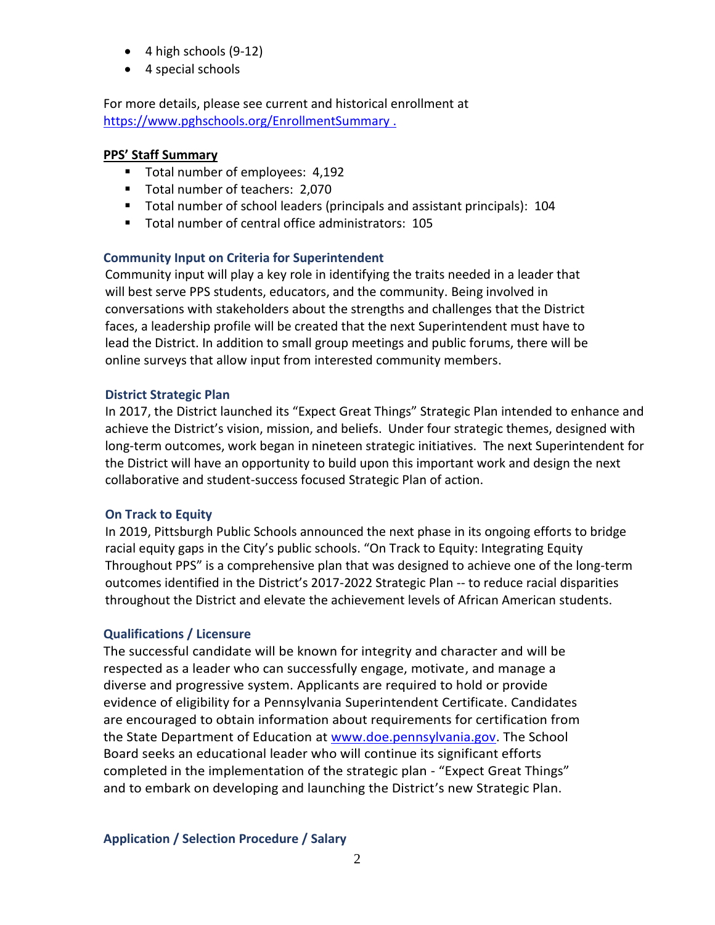- 4 high schools (9-12)
- 4 special schools

For more details, please see current and historical enrollment at <https://www.pghschools.org/EnrollmentSummary>.

#### **PPS' Staff Summary**

- Total number of employees: 4,192
- Total number of teachers: 2,070
- Total number of school leaders (principals and assistant principals): 104
- Total number of central office administrators: 105

## **Community Input on Criteria for Superintendent**

Community input will play a key role in identifying the traits needed in a leader that will best serve PPS students, educators, and the community. Being involved in conversations with stakeholders about the strengths and challenges that the District faces, a leadership profile will be created that the next Superintendent must have to lead the District. In addition to small group meetings and public forums, there will be online surveys that allow input from interested community members.

## **District Strategic Plan**

In 2017, the District launched its "Expect Great Things" Strategic Plan intended to enhance and achieve the District's vision, mission, and beliefs. Under four strategic themes, designed with long-term outcomes, work began in nineteen strategic initiatives. The next Superintendent for the District will have an opportunity to build upon this important work and design the next collaborative and student-success focused Strategic Plan of action.

## **On Track to Equity**

In 2019, Pittsburgh Public Schools announced the next phase in its ongoing efforts to bridge racial equity gaps in the City's public schools. "On Track to Equity: Integrating Equity Throughout PPS" is a comprehensive plan that was designed to achieve one of the long-term outcomes identified in the District's 2017-2022 Strategic Plan -- to reduce racial disparities throughout the District and elevate the achievement levels of African American students.

## **Qualifications / Licensure**

The successful candidate will be known for integrity and character and will be respected as a leader who can successfully engage, motivate, and manage a diverse and progressive system. Applicants are required to hold or provide evidence of eligibility for a Pennsylvania Superintendent Certificate. Candidates are encouraged to obtain information about requirements for certification from the [State Department of Education](http://www.doe.virginia.gov/teaching/licensure/) at [www.doe.pennsylvania.gov.](http://www.doe.pennsylvania.gov/) The School Board seeks an educational leader who will continue its significant efforts completed in the implementation of the strategic plan - "Expect Great Things" and to embark on developing and launching the District's new Strategic Plan.

**Application / Selection Procedure / Salary**